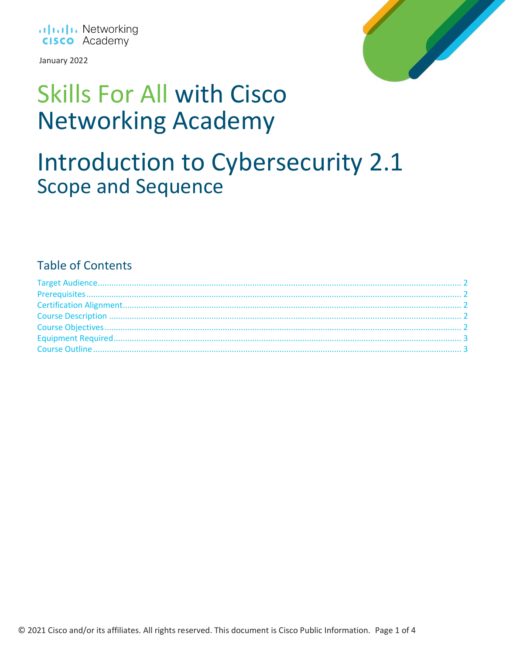

January 2022



# **Skills For All with Cisco Networking Academy**

### Introduction to Cybersecurity 2.1 **Scope and Sequence**

### **Table of Contents**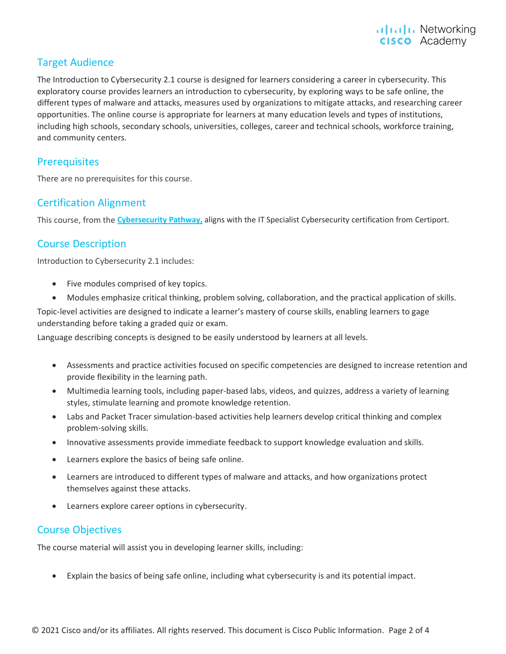#### <span id="page-1-0"></span>Target Audience

The Introduction to Cybersecurity 2.1 course is designed for learners considering a career in cybersecurity. This exploratory course provides learners an introduction to cybersecurity, by exploring ways to be safe online, the different types of malware and attacks, measures used by organizations to mitigate attacks, and researching career opportunities. The online course is appropriate for learners at many education levels and types of institutions, including high schools, secondary schools, universities, colleges, career and technical schools, workforce training, and community centers.

#### <span id="page-1-1"></span>**Prerequisites**

<span id="page-1-2"></span>There are no prerequisites for this course.

#### Certification Alignment

<span id="page-1-3"></span>This course, from the **[Cybersecurity Pathway,](https://skillsforall.com/career-path/cybersecurity)** aligns with the IT Specialist Cybersecurity certification from Certiport.

#### Course Description

Introduction to Cybersecurity 2.1 includes:

- Five modules comprised of key topics.
- Modules emphasize critical thinking, problem solving, collaboration, and the practical application of skills.

Topic-level activities are designed to indicate a learner's mastery of course skills, enabling learners to gage understanding before taking a graded quiz or exam.

Language describing concepts is designed to be easily understood by learners at all levels.

- Assessments and practice activities focused on specific competencies are designed to increase retention and provide flexibility in the learning path.
- Multimedia learning tools, including paper-based labs, videos, and quizzes, address a variety of learning styles, stimulate learning and promote knowledge retention.
- Labs and Packet Tracer simulation-based activities help learners develop critical thinking and complex problem-solving skills.
- Innovative assessments provide immediate feedback to support knowledge evaluation and skills.
- Learners explore the basics of being safe online.
- Learners are introduced to different types of malware and attacks, and how organizations protect themselves against these attacks.
- Learners explore career options in cybersecurity.

#### <span id="page-1-4"></span>Course Objectives

The course material will assist you in developing learner skills, including:

• Explain the basics of being safe online, including what cybersecurity is and its potential impact.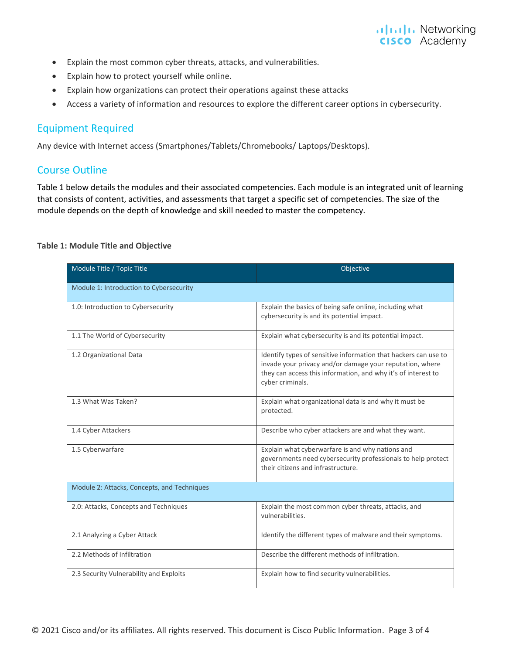- Explain the most common cyber threats, attacks, and vulnerabilities.
- Explain how to protect yourself while online.
- Explain how organizations can protect their operations against these attacks
- Access a variety of information and resources to explore the different career options in cybersecurity.

#### <span id="page-2-0"></span>Equipment Required

Any device with Internet access (Smartphones/Tablets/Chromebooks/ Laptops/Desktops).

#### <span id="page-2-1"></span>Course Outline

Table 1 below details the modules and their associated competencies. Each module is an integrated unit of learning that consists of content, activities, and assessments that target a specific set of competencies. The size of the module depends on the depth of knowledge and skill needed to master the competency.

#### **Table 1: Module Title and Objective**

| Module Title / Topic Title                  | Objective                                                                                                                                                                                                        |
|---------------------------------------------|------------------------------------------------------------------------------------------------------------------------------------------------------------------------------------------------------------------|
| Module 1: Introduction to Cybersecurity     |                                                                                                                                                                                                                  |
| 1.0: Introduction to Cybersecurity          | Explain the basics of being safe online, including what<br>cybersecurity is and its potential impact.                                                                                                            |
| 1.1 The World of Cybersecurity              | Explain what cybersecurity is and its potential impact.                                                                                                                                                          |
| 1.2 Organizational Data                     | Identify types of sensitive information that hackers can use to<br>invade your privacy and/or damage your reputation, where<br>they can access this information, and why it's of interest to<br>cyber criminals. |
| 1.3 What Was Taken?                         | Explain what organizational data is and why it must be<br>protected.                                                                                                                                             |
| 1.4 Cyber Attackers                         | Describe who cyber attackers are and what they want.                                                                                                                                                             |
| 1.5 Cyberwarfare                            | Explain what cyberwarfare is and why nations and<br>governments need cybersecurity professionals to help protect<br>their citizens and infrastructure.                                                           |
| Module 2: Attacks, Concepts, and Techniques |                                                                                                                                                                                                                  |
| 2.0: Attacks, Concepts and Techniques       | Explain the most common cyber threats, attacks, and<br>vulnerabilities.                                                                                                                                          |
| 2.1 Analyzing a Cyber Attack                | Identify the different types of malware and their symptoms.                                                                                                                                                      |
| 2.2 Methods of Infiltration                 | Describe the different methods of infiltration.                                                                                                                                                                  |
| 2.3 Security Vulnerability and Exploits     | Explain how to find security vulnerabilities.                                                                                                                                                                    |